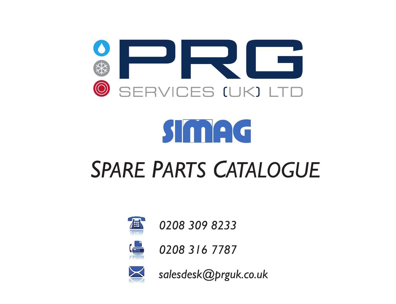



## **SPARE PARTS CATALOGUE**



0208 309 8233



0208 316 7787



salesdesk@prguk.co.uk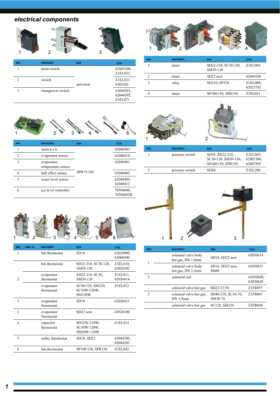## electrical components



| item                        | description       | type      | <b>OEM</b>                        |
|-----------------------------|-------------------|-----------|-----------------------------------|
|                             | main switch       | universal | 62045300,<br>Z1EL032              |
| $\mathcal{D}_{\mathcal{A}}$ | switch            |           | Z1EL031,<br>6203302               |
| 3                           | changeover switch |           | 62044201,<br>62044202.<br>Z1EL071 |



| item | description | type                            | <b>OEM</b>           |
|------|-------------|---------------------------------|----------------------|
|      | timer       | SD22-210, SC30-120,<br>SM30-120 | Z1ELO03              |
|      | timer       | $SD22$ new                      | 62044100             |
|      | relay       | SD210, SP150                    | Z1EL004,<br>62023702 |
|      | timer       | SP100/150, SPR150               | Z1EL051              |



| item           | description                      | type      | <b>OEM</b>             |
|----------------|----------------------------------|-----------|------------------------|
|                | main p.c.b.                      |           | 62040303               |
| $\mathfrak{D}$ | evaporator sensor                |           | 62040410               |
| 3              | evaporator<br>temperature sensor |           | 62040401               |
|                | hall effect sensor               | SPR75/165 | 62040402               |
| 5              | water level sensor               |           | 62040404,<br>62040413  |
| 6              | ice level controller             |           | 78508600.<br>78508602R |





| item | description     | type                                                        | <b>OEM</b>                        |
|------|-----------------|-------------------------------------------------------------|-----------------------------------|
|      | pressure switch | SD18, SD22-210.<br>SC30-120, SM30-120,<br>SP100/150, SPR150 | Z1EL005.<br>62007500.<br>62007505 |
|      | pressure switch | <b>SD80</b>                                                 | Z1EL200                           |



| item                     | order no. | description              | type                                             | <b>OFM</b>            |
|--------------------------|-----------|--------------------------|--------------------------------------------------|-----------------------|
| 1                        |           | bin thermostat           | SD <sub>18</sub>                                 | 62020900,<br>63000500 |
|                          |           | bin thermostat           | SD22-210, SC30-120,<br>SM30-120                  | Z1EL010,<br>62026302  |
| $\overline{c}$           |           | evaporator<br>thermostat | SD22-210, SC30,<br>SM30-120                      | Z1EL011.<br>62026414  |
|                          |           | evaporator<br>thermostat | SC40-120, SM120,<br>SC30W-120W,<br><b>SM120W</b> | Z1EL012               |
| 3                        |           | evaporator<br>thermostat | SD <sub>18</sub>                                 | 62026415              |
| $\mathfrak{D}$           |           | evaporator<br>thermostat | $SD22$ new                                       | 62020100              |
| $\overline{4}$           |           | capacitor<br>thermostat  | SD22W-210W.<br>SC30W-120W,<br>SM30W-120W         | Z1EL014               |
| $\overline{\phantom{0}}$ |           | safety thermostat        | SD18, SD22                                       | 62044300,<br>62044302 |
| 6                        |           | bin thermostat           | SP100/150, SPR150                                | Z1EL042               |



| item          | description                              | type                          | OFM                   |
|---------------|------------------------------------------|-------------------------------|-----------------------|
|               | solenoid valve body<br>hot gas, DN 1,6mm | SD18, SD22 new                | 62030614              |
|               | solenoid valve body<br>hot gas, DN 2,5mm | SD18, SD22 new,<br>SD60       | 62030627              |
| $\mathcal{D}$ | solenoid coil                            |                               | 62030648.<br>62030628 |
|               | solenoid valve hot gas                   | SD22/23/30                    | Z1FR057               |
| $\mathbf{3}$  | solenoid valve hot gas,<br>DN 1,9mm      | SD40-210, SC30-70,<br>SM30-70 | Z1FR047               |
|               | solenoid valve hot gas                   | SC120, SM120                  | Z1FR048               |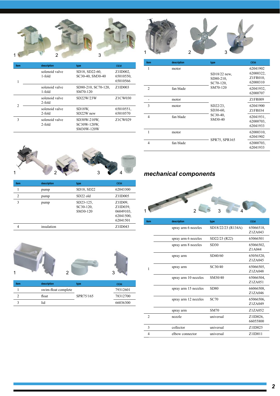

| item           | description              | type                                     | <b>OEM</b>                           |
|----------------|--------------------------|------------------------------------------|--------------------------------------|
| 1              | solenoid valve<br>1-fold | SD18, SD22-60,<br>SC30-40, SM30-40       | $Z1ID002$ ,<br>65010550.<br>65010566 |
|                | solenoid valve<br>1-fold | SD80-210, SC70-120,<br>SM70-120          | Z1ID003                              |
| $\mathfrak{D}$ | solenoid valve<br>2-fold | SD22W/23W                                | Z1CW030                              |
|                | solenoid valve<br>2-fold | SD18W.<br>SD22W new                      | 65010551.<br>65010570                |
| 3              | solenoid valve<br>2-fold | SD30W-210W.<br>SC30W-120W.<br>SM30W-120W | Z1CW029                              |



| item           | description | type                               | <b>OEM</b>                                                |
|----------------|-------------|------------------------------------|-----------------------------------------------------------|
|                | pump        | SD18, SD22                         | 62043300                                                  |
| $\overline{c}$ | pump        | SD22 old                           | Z1ID005                                                   |
| 3              | pump        | SD23-125.<br>SC30-120,<br>SM30-120 | Z1ID09,<br>Z1ID039.<br>06049103.<br>62041500.<br>62041501 |
| 4              | insulation  |                                    | Z1ID043                                                   |



| item | description         | type      | <b>OEM</b> |
|------|---------------------|-----------|------------|
|      | swim-float complete |           | 79312601   |
|      | float               | SPR75/165 | 78312700   |
|      | lid                 |           | 66036300   |
|      |                     |           |            |



| item           | description | type                                     | <b>OEM</b>                                    |
|----------------|-------------|------------------------------------------|-----------------------------------------------|
| 1              | motor       | $SD18/22$ new,<br>SD80-210,<br>SC70-120. | 62041902<br>62000322,<br>Z1FR010,<br>62000310 |
| $\overline{2}$ | fan blade   | SM70-120                                 | 62041932,<br>62000707                         |
|                | motor       |                                          | Z1FR009                                       |
| 3              | motor       | $SD22/23$ ,<br>SD30-60,                  | 62041900<br>Z1FR034                           |
| 4              | fan blade   | SC30-40.<br>SM30-40                      | 62041931,<br>62000703.<br>62041933            |
| 1              | motor       |                                          | 62000310,<br>62041902                         |
| 4              | fan blade   | SPR75, SPR165                            | 62000703,<br>62041933                         |

## *mechanical!components*

I



| item           | description          | type               | <b>OEM</b>           |
|----------------|----------------------|--------------------|----------------------|
|                | spray arm 6 nozzles  | SD18/22/23 (R134A) | 65066518,<br>Z1ZA043 |
|                | spray arm 6 nozzles  | SD22/23 (R22)      | 65066501             |
|                | spray arm 8 nozzles  | SD30               | 65066502,<br>Z1A044  |
|                | spray arm            | SD40/60            | 65056520,<br>Z1ZA045 |
| 1              | spray arm            | SC30/40            | 65066505,<br>Z1ZA048 |
|                | spray arm 10 nozzles | SM30/40            | 65066504,<br>Z1ZA051 |
|                | spray arm 15 nozzles | <b>SD80</b>        | 66066508,<br>Z1ZA046 |
|                | spray arm 12 nozzles | <b>SC70</b>        | 65066506,<br>Z1ZA049 |
|                | spray arm            | <b>SM70</b>        | Z1ZA052              |
| $\overline{2}$ | nozzle               | universal          | Z1ID026,<br>66055800 |
| 3              | collector            | universal          | Z1ID025              |
| 4              | elbow connector      | universal          | Z1ID011              |